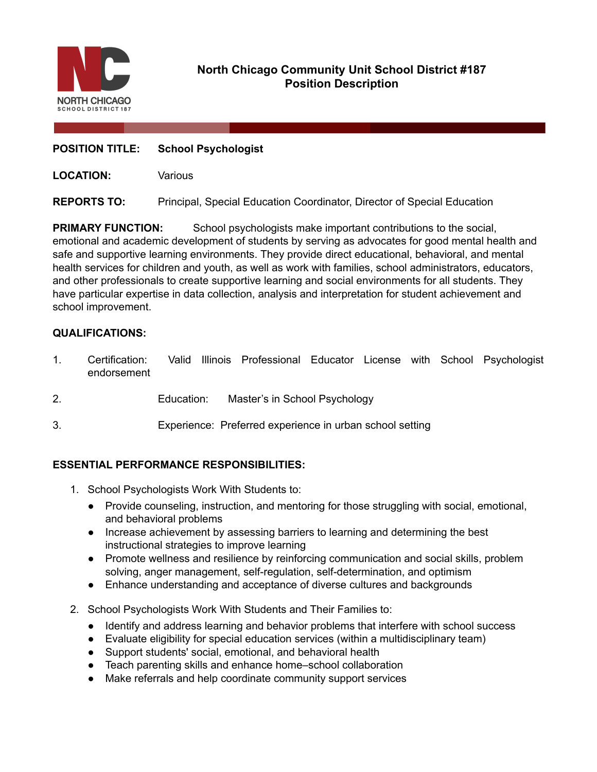

# **North Chicago Community Unit School District #187 Position Description**

## **POSITION TITLE: School Psychologist**

**LOCATION:** Various

## **REPORTS TO:** Principal, Special Education Coordinator, Director of Special Education

**PRIMARY FUNCTION:** School psychologists make important contributions to the social, emotional and academic development of students by serving as advocates for good mental health and safe and supportive learning environments. They provide direct educational, behavioral, and mental health services for children and youth, as well as work with families, school administrators, educators, and other professionals to create supportive learning and social environments for all students. They have particular expertise in data collection, analysis and interpretation for student achievement and school improvement.

## **QUALIFICATIONS:**

- 1. Certification: Valid Illinois Professional Educator License with School Psychologist endorsement
- 2. Education: Master's in School Psychology
- 3. Experience: Preferred experience in urban school setting

## **ESSENTIAL PERFORMANCE RESPONSIBILITIES:**

- 1. School Psychologists Work With Students to:
	- Provide counseling, instruction, and mentoring for those struggling with social, emotional, and behavioral problems
	- Increase achievement by assessing barriers to learning and determining the best instructional strategies to improve learning
	- Promote wellness and resilience by reinforcing communication and social skills, problem solving, anger management, self-regulation, self-determination, and optimism
	- Enhance understanding and acceptance of diverse cultures and backgrounds
- 2. School Psychologists Work With Students and Their Families to:
	- Identify and address learning and behavior problems that interfere with school success
	- Evaluate eligibility for special education services (within a multidisciplinary team)
	- Support students' social, emotional, and behavioral health
	- Teach parenting skills and enhance home–school collaboration
	- Make referrals and help coordinate community support services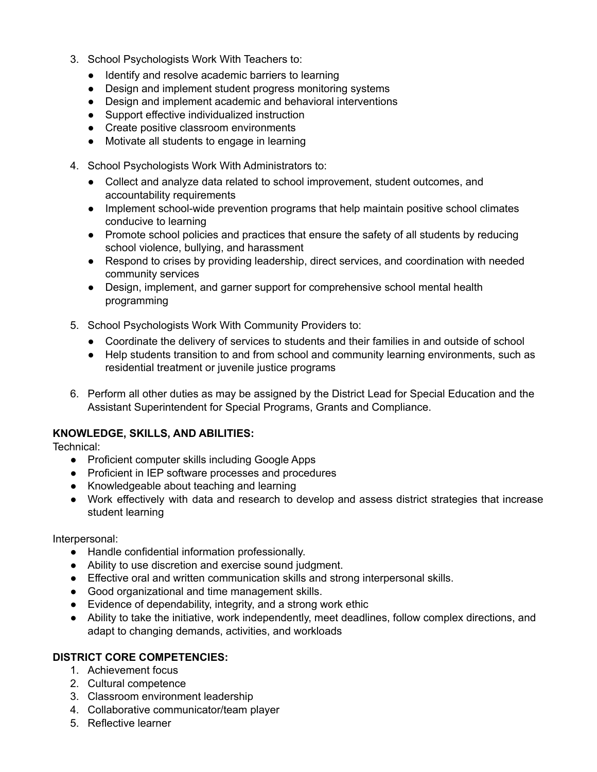- 3. School Psychologists Work With Teachers to:
	- Identify and resolve academic barriers to learning
	- Design and implement student progress monitoring systems
	- Design and implement academic and behavioral interventions
	- Support effective individualized instruction
	- Create positive classroom environments
	- Motivate all students to engage in learning
- 4. School Psychologists Work With Administrators to:
	- Collect and analyze data related to school improvement, student outcomes, and accountability requirements
	- Implement school-wide prevention programs that help maintain positive school climates conducive to learning
	- Promote school policies and practices that ensure the safety of all students by reducing school violence, bullying, and harassment
	- Respond to crises by providing leadership, direct services, and coordination with needed community services
	- Design, implement, and garner support for comprehensive school mental health programming
- 5. School Psychologists Work With Community Providers to:
	- Coordinate the delivery of services to students and their families in and outside of school
	- Help students transition to and from school and community learning environments, such as residential treatment or juvenile justice programs
- 6. Perform all other duties as may be assigned by the District Lead for Special Education and the Assistant Superintendent for Special Programs, Grants and Compliance.

## **KNOWLEDGE, SKILLS, AND ABILITIES:**

Technical:

- Proficient computer skills including Google Apps
- Proficient in IEP software processes and procedures
- Knowledgeable about teaching and learning
- Work effectively with data and research to develop and assess district strategies that increase student learning

Interpersonal:

- Handle confidential information professionally.
- Ability to use discretion and exercise sound judgment.
- Effective oral and written communication skills and strong interpersonal skills.
- Good organizational and time management skills.
- Evidence of dependability, integrity, and a strong work ethic
- Ability to take the initiative, work independently, meet deadlines, follow complex directions, and adapt to changing demands, activities, and workloads

## **DISTRICT CORE COMPETENCIES:**

- 1. Achievement focus
- 2. Cultural competence
- 3. Classroom environment leadership
- 4. Collaborative communicator/team player
- 5. Reflective learner